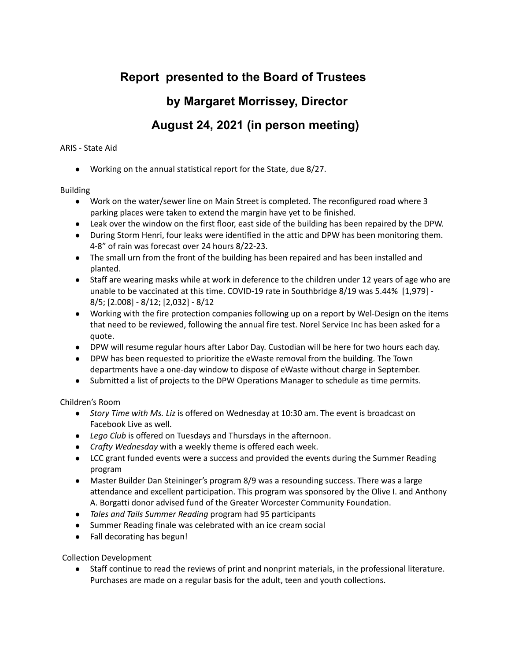# **Report presented to the Board of Trustees by Margaret Morrissey, Director August 24, 2021 (in person meeting)**

## ARIS - State Aid

● Working on the annual statistical report for the State, due 8/27.

## Building

- Work on the water/sewer line on Main Street is completed. The reconfigured road where 3 parking places were taken to extend the margin have yet to be finished.
- Leak over the window on the first floor, east side of the building has been repaired by the DPW.
- During Storm Henri, four leaks were identified in the attic and DPW has been monitoring them. 4-8" of rain was forecast over 24 hours 8/22-23.
- The small urn from the front of the building has been repaired and has been installed and planted.
- Staff are wearing masks while at work in deference to the children under 12 years of age who are unable to be vaccinated at this time. COVID-19 rate in Southbridge 8/19 was 5.44% [1,979] - 8/5; [2.008] - 8/12; [2,032] - 8/12
- Working with the fire protection companies following up on a report by Wel-Design on the items that need to be reviewed, following the annual fire test. Norel Service Inc has been asked for a quote.
- DPW will resume regular hours after Labor Day. Custodian will be here for two hours each day.
- DPW has been requested to prioritize the eWaste removal from the building. The Town departments have a one-day window to dispose of eWaste without charge in September.
- Submitted a list of projects to the DPW Operations Manager to schedule as time permits.

Children's Room

- *Story Time with Ms. Liz* is offered on Wednesday at 10:30 am. The event is broadcast on Facebook Live as well.
- *Lego Club* is offered on Tuesdays and Thursdays in the afternoon.
- *Crafty Wednesday* with a weekly theme is offered each week.
- LCC grant funded events were a success and provided the events during the Summer Reading program
- Master Builder Dan Steininger's program 8/9 was a resounding success. There was a large attendance and excellent participation. This program was sponsored by the Olive I. and Anthony A. Borgatti donor advised fund of the Greater Worcester Community Foundation.
- *● Tales and Tails Summer Reading* program had 95 participants
- Summer Reading finale was celebrated with an ice cream social
- Fall decorating has begun!

Collection Development

● Staff continue to read the reviews of print and nonprint materials, in the professional literature. Purchases are made on a regular basis for the adult, teen and youth collections.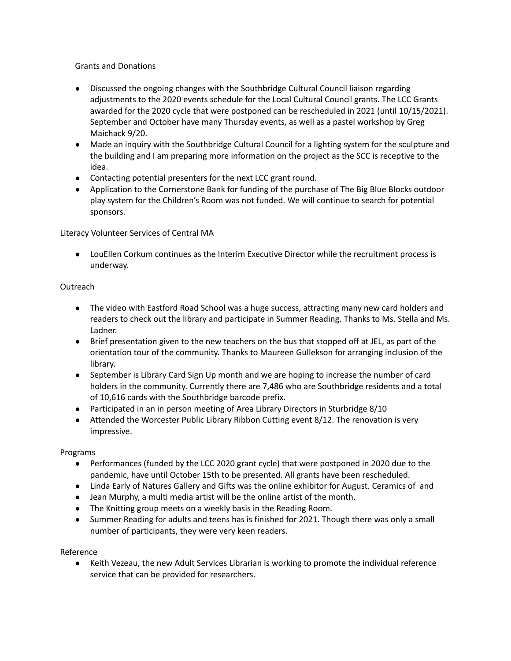Grants and Donations

- Discussed the ongoing changes with the Southbridge Cultural Council liaison regarding adjustments to the 2020 events schedule for the Local Cultural Council grants. The LCC Grants awarded for the 2020 cycle that were postponed can be rescheduled in 2021 (until 10/15/2021). September and October have many Thursday events, as well as a pastel workshop by Greg Maichack 9/20.
- Made an inquiry with the Southbridge Cultural Council for a lighting system for the sculpture and the building and I am preparing more information on the project as the SCC is receptive to the idea.
- Contacting potential presenters for the next LCC grant round.
- Application to the Cornerstone Bank for funding of the purchase of The Big Blue Blocks outdoor play system for the Children's Room was not funded. We will continue to search for potential sponsors.

Literacy Volunteer Services of Central MA

● LouEllen Corkum continues as the Interim Executive Director while the recruitment process is underway.

### **Outreach**

- The video with Eastford Road School was a huge success, attracting many new card holders and readers to check out the library and participate in Summer Reading. Thanks to Ms. Stella and Ms. Ladner.
- Brief presentation given to the new teachers on the bus that stopped off at JEL, as part of the orientation tour of the community. Thanks to Maureen Gullekson for arranging inclusion of the library.
- September is Library Card Sign Up month and we are hoping to increase the number of card holders in the community. Currently there are 7,486 who are Southbridge residents and a total of 10,616 cards with the Southbridge barcode prefix.
- Participated in an in person meeting of Area Library Directors in Sturbridge 8/10
- Attended the Worcester Public Library Ribbon Cutting event 8/12. The renovation is very impressive.

#### Programs

- Performances (funded by the LCC 2020 grant cycle) that were postponed in 2020 due to the pandemic, have until October 15th to be presented. All grants have been rescheduled.
- Linda Early of Natures Gallery and Gifts was the online exhibitor for August. Ceramics of and
- Jean Murphy, a multi media artist will be the online artist of the month.
- The Knitting group meets on a weekly basis in the Reading Room.
- Summer Reading for adults and teens has is finished for 2021. Though there was only a small number of participants, they were very keen readers.

#### Reference

● Keith Vezeau, the new Adult Services Librarian is working to promote the individual reference service that can be provided for researchers.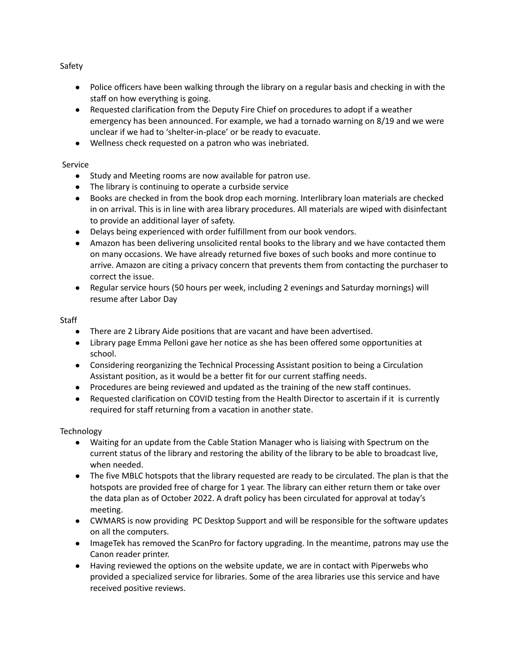Safety

- Police officers have been walking through the library on a regular basis and checking in with the staff on how everything is going.
- Requested clarification from the Deputy Fire Chief on procedures to adopt if a weather emergency has been announced. For example, we had a tornado warning on 8/19 and we were unclear if we had to 'shelter-in-place' or be ready to evacuate.
- Wellness check requested on a patron who was inebriated.

# Service

- Study and Meeting rooms are now available for patron use.
- The library is continuing to operate a curbside service
- Books are checked in from the book drop each morning. Interlibrary loan materials are checked in on arrival. This is in line with area library procedures. All materials are wiped with disinfectant to provide an additional layer of safety.
- Delays being experienced with order fulfillment from our book vendors.
- Amazon has been delivering unsolicited rental books to the library and we have contacted them on many occasions. We have already returned five boxes of such books and more continue to arrive. Amazon are citing a privacy concern that prevents them from contacting the purchaser to correct the issue.
- Regular service hours (50 hours per week, including 2 evenings and Saturday mornings) will resume after Labor Day

# **Staff**

- There are 2 Library Aide positions that are vacant and have been advertised.
- Library page Emma Pelloni gave her notice as she has been offered some opportunities at school.
- Considering reorganizing the Technical Processing Assistant position to being a Circulation Assistant position, as it would be a better fit for our current staffing needs.
- Procedures are being reviewed and updated as the training of the new staff continues.
- Requested clarification on COVID testing from the Health Director to ascertain if it is currently required for staff returning from a vacation in another state.

# **Technology**

- Waiting for an update from the Cable Station Manager who is liaising with Spectrum on the current status of the library and restoring the ability of the library to be able to broadcast live, when needed.
- The five MBLC hotspots that the library requested are ready to be circulated. The plan is that the hotspots are provided free of charge for 1 year. The library can either return them or take over the data plan as of October 2022. A draft policy has been circulated for approval at today's meeting.
- CWMARS is now providing PC Desktop Support and will be responsible for the software updates on all the computers.
- ImageTek has removed the ScanPro for factory upgrading. In the meantime, patrons may use the Canon reader printer.
- Having reviewed the options on the website update, we are in contact with Piperwebs who provided a specialized service for libraries. Some of the area libraries use this service and have received positive reviews.